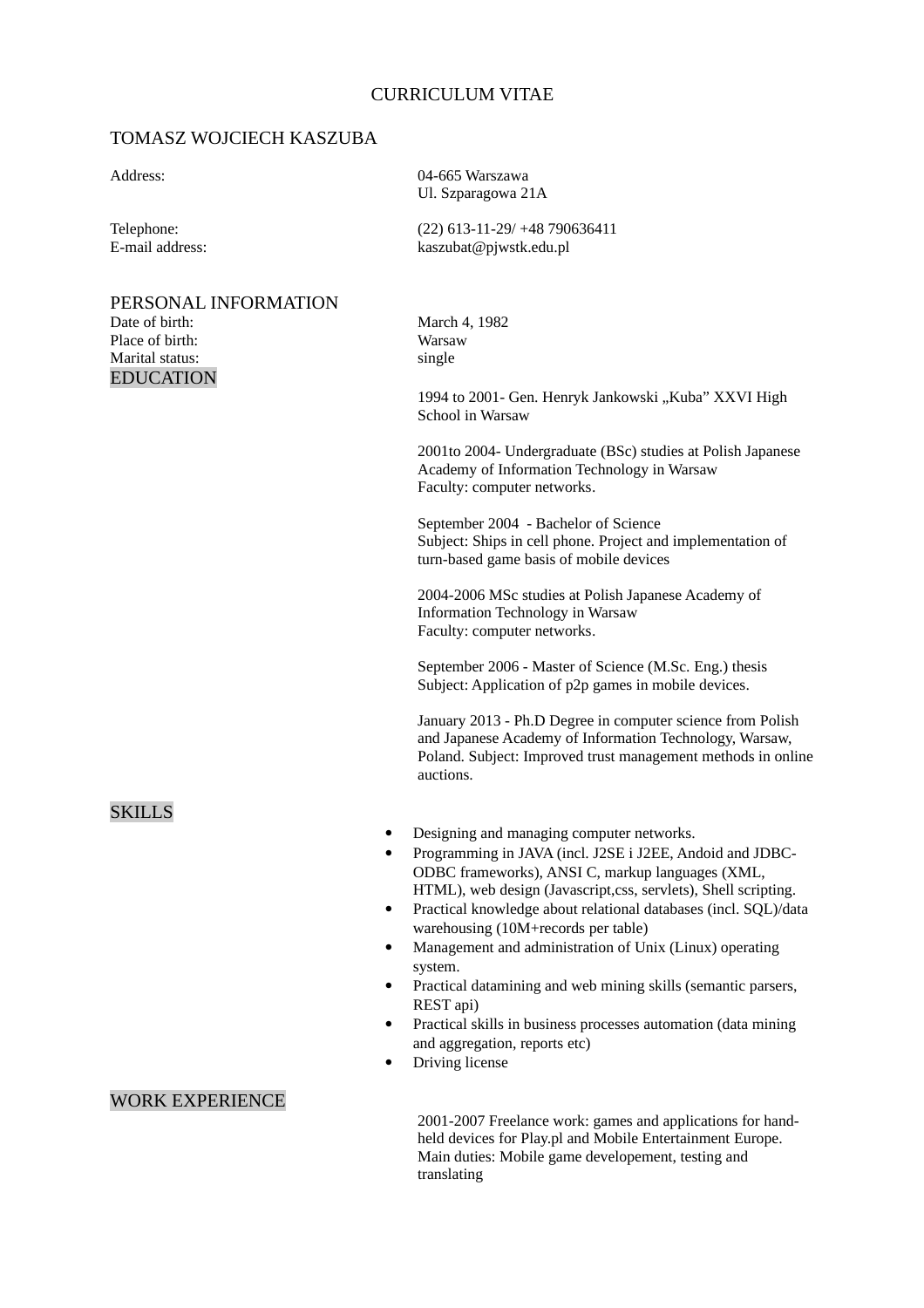# CURRICULUM VITAE

# TOMASZ WOJCIECH KASZUBA

# PERSONAL INFORMATION

Place of birth: Warsaw Marital status: single EDUCATION

Address: 04-665 Warszawa Ul. Szparagowa 21A

Telephone: (22) 613-11-29/ +48 790636411 E-mail address: kaszubat@pjwstk.edu.pl

Date of birth: March 4, 1982

1994 to 2001- Gen. Henryk Jankowski "Kuba" XXVI High School in Warsaw

2001to 2004- Undergraduate (BSc) studies at Polish Japanese Academy of Information Technology in Warsaw Faculty: computer networks.

September 2004 - Bachelor of Science Subject: Ships in cell phone. Project and implementation of turn-based game basis of mobile devices

2004-2006 MSc studies at Polish Japanese Academy of Information Technology in Warsaw Faculty: computer networks.

September 2006 - Master of Science (M.Sc. Eng.) thesis Subject: Application of p2p games in mobile devices.

January 2013 - Ph.D Degree in computer science from Polish and Japanese Academy of Information Technology, Warsaw, Poland. Subject: Improved trust management methods in online auctions.

- Designing and managing computer networks.
- Programming in JAVA (incl. J2SE i J2EE, Andoid and JDBC-ODBC frameworks), ANSI C, markup languages (XML, HTML), web design (Javascript,css, servlets), Shell scripting.
- Practical knowledge about relational databases (incl. SQL)/data warehousing (10M+records per table)
- Management and administration of Unix (Linux) operating system.
- Practical datamining and web mining skills (semantic parsers, REST api)
- Practical skills in business processes automation (data mining and aggregation, reports etc)
- Driving license

# WORK EXPERIENCE

2001-2007 Freelance work: games and applications for handheld devices for Play.pl and Mobile Entertainment Europe. Main duties: Mobile game developement, testing and translating

## SKILLS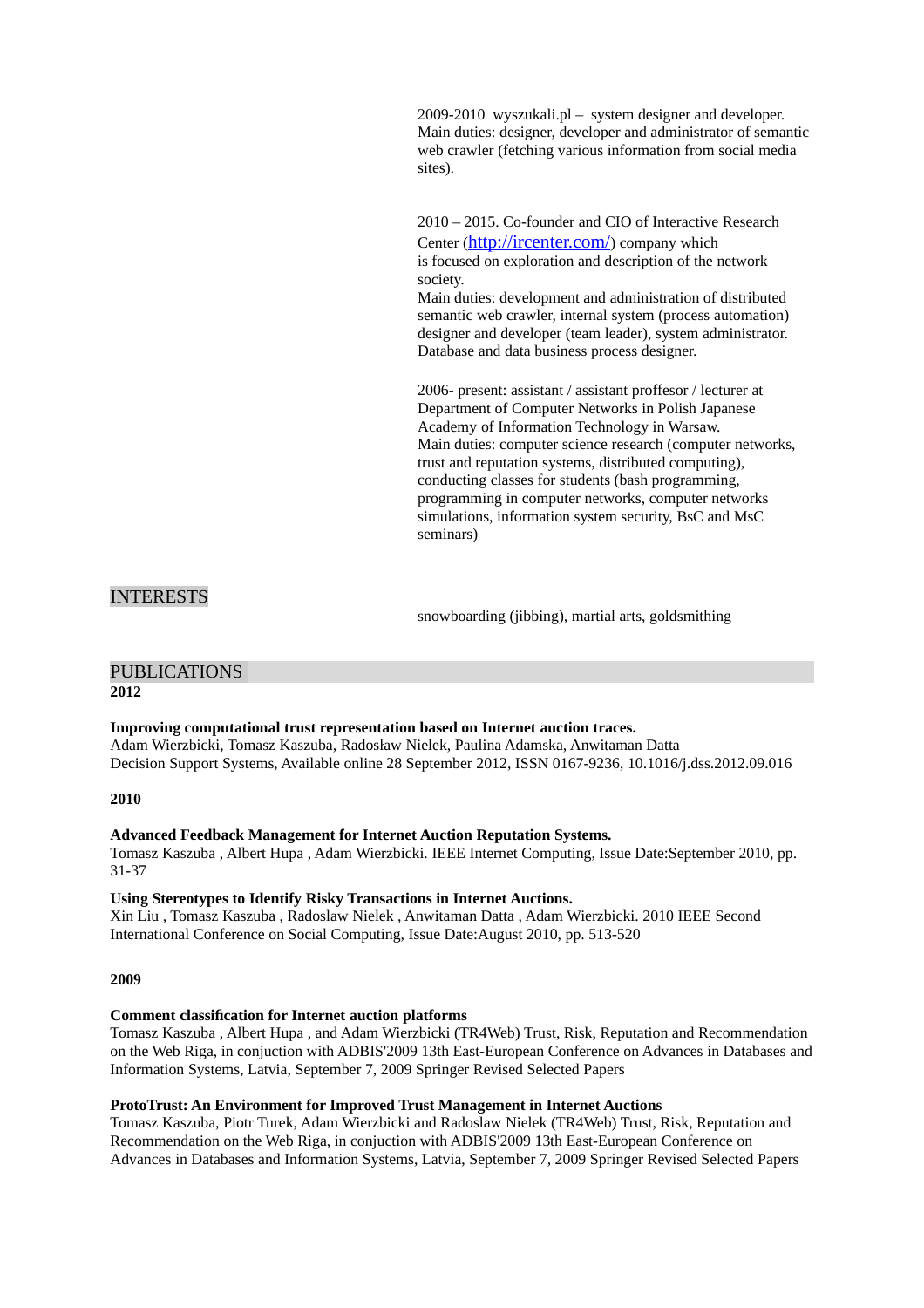2009-2010 wyszukali.pl – system designer and developer. Main duties: designer, developer and administrator of semantic web crawler (fetching various information from social media sites).

2010 – 2015. Co-founder and CIO of Interactive Research Center (<http://ircenter.com/>) company which is focused on exploration and description of the network society.

Main duties: development and administration of distributed semantic web crawler, internal system (process automation) designer and developer (team leader), system administrator. Database and data business process designer.

2006- present: assistant / assistant proffesor / lecturer at Department of Computer Networks in Polish Japanese Academy of Information Technology in Warsaw. Main duties: computer science research (computer networks, trust and reputation systems, distributed computing), conducting classes for students (bash programming, programming in computer networks, computer networks simulations, information system security, BsC and MsC seminars)

## INTERESTS

snowboarding (jibbing), martial arts, goldsmithing

# PUBLICATIONS

#### **2012**

#### **Improving computational trust representation based on Internet auction traces.**

Adam Wierzbicki, Tomasz Kaszuba, Radosław Nielek, Paulina Adamska, Anwitaman Datta Decision Support Systems, Available online 28 September 2012, ISSN 0167-9236, 10.1016/j.dss.2012.09.016

#### **2010**

#### **Advanced Feedback Management for Internet Auction Reputation Systems.**

Tomasz Kaszuba , Albert Hupa , Adam Wierzbicki. IEEE Internet Computing, Issue Date:September 2010, pp. 31-37

#### **Using Stereotypes to Identify Risky Transactions in Internet Auctions.**

Xin Liu , Tomasz Kaszuba , Radoslaw Nielek , Anwitaman Datta , Adam Wierzbicki. 2010 IEEE Second International Conference on Social Computing, Issue Date:August 2010, pp. 513-520

#### **2009**

#### **Comment classification for Internet auction platforms**

Tomasz Kaszuba , Albert Hupa , and Adam Wierzbicki (TR4Web) Trust, Risk, Reputation and Recommendation on the Web Riga, in conjuction with ADBIS'2009 13th East-European Conference on Advances in Databases and Information Systems, Latvia, September 7, 2009 Springer Revised Selected Papers

#### **ProtoTrust: An Environment for Improved Trust Management in Internet Auctions**

Tomasz Kaszuba, Piotr Turek, Adam Wierzbicki and Radoslaw Nielek (TR4Web) Trust, Risk, Reputation and Recommendation on the Web Riga, in conjuction with ADBIS'2009 13th East-European Conference on Advances in Databases and Information Systems, Latvia, September 7, 2009 Springer Revised Selected Papers